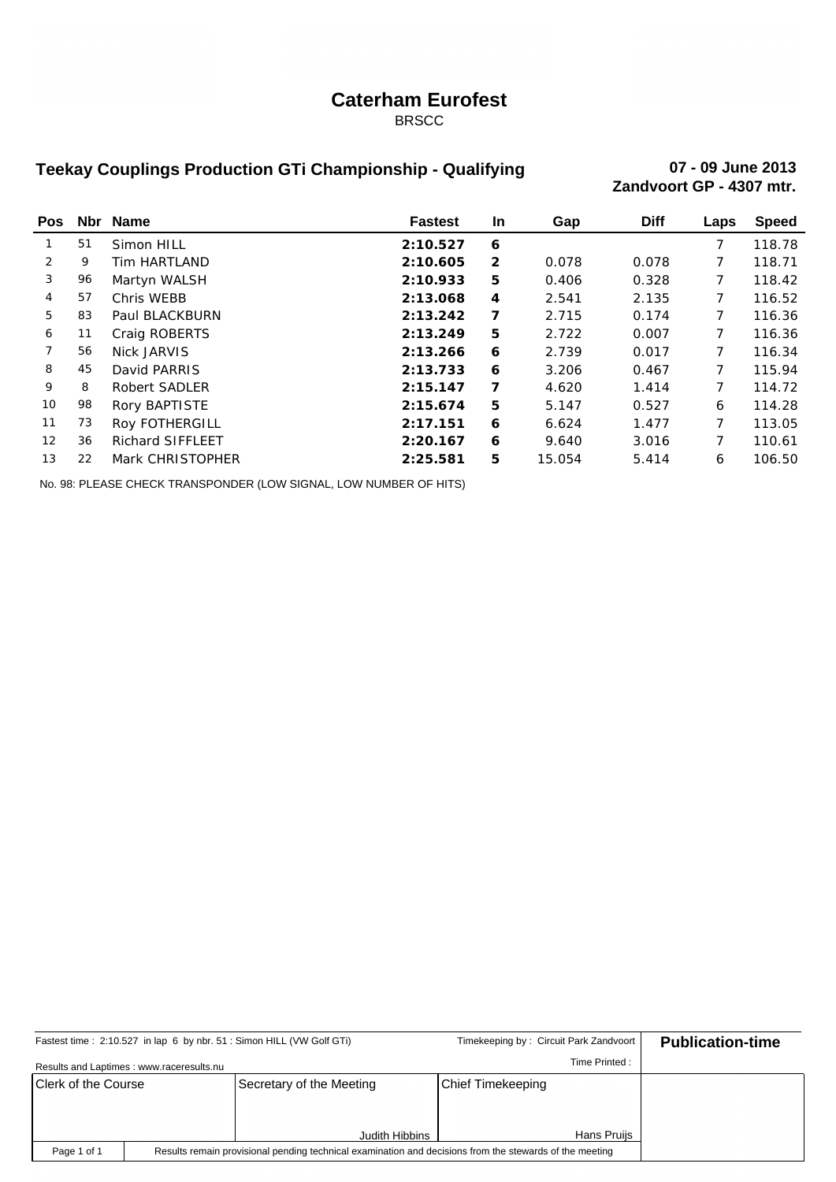### **Caterham Eurofest**

BRSCC

## **Teekay Couplings Production GTi Championship - Qualifying 07 - 09 June 2013**

**Zandvoort GP - 4307 mtr.**

| <b>Pos</b>      |    | Nbr Name                | <b>Fastest</b> | <b>In</b>      | Gap    | <b>Diff</b> | Laps | <b>Speed</b> |
|-----------------|----|-------------------------|----------------|----------------|--------|-------------|------|--------------|
|                 | 51 | Simon HILL              | 2:10.527       | 6              |        |             | 7    | 118.78       |
| 2               | 9  | Tim HARTLAND            | 2:10.605       | $\overline{2}$ | 0.078  | 0.078       |      | 118.71       |
| 3               | 96 | Martyn WALSH            | 2:10.933       | 5              | 0.406  | 0.328       |      | 118.42       |
| 4               | 57 | Chris WEBB              | 2:13.068       | 4              | 2.541  | 2.135       |      | 116.52       |
| 5               | 83 | Paul BLACKBURN          | 2:13.242       | 7              | 2.715  | 0.174       | 7    | 116.36       |
| 6               | 11 | Craig ROBERTS           | 2:13.249       | 5              | 2.722  | 0.007       |      | 116.36       |
| 7               | 56 | Nick JARVIS             | 2:13.266       | 6              | 2.739  | 0.017       | 7    | 116.34       |
| 8               | 45 | David PARRIS            | 2:13.733       | 6              | 3.206  | 0.467       | 7    | 115.94       |
| 9               | 8  | <b>Robert SADLER</b>    | 2:15.147       | 7              | 4.620  | 1.414       | 7    | 114.72       |
| 10              | 98 | Rory BAPTISTE           | 2:15.674       | 5              | 5.147  | 0.527       | 6    | 114.28       |
| 11              | 73 | Roy FOTHERGILL          | 2:17.151       | 6              | 6.624  | 1.477       | 7    | 113.05       |
| 12 <sup>2</sup> | 36 | <b>Richard SIFFLEET</b> | 2:20.167       | 6              | 9.640  | 3.016       | 7    | 110.61       |
| 13              | 22 | Mark CHRISTOPHER        | 2:25.581       | 5              | 15.054 | 5.414       | 6    | 106.50       |

No. 98: PLEASE CHECK TRANSPONDER (LOW SIGNAL, LOW NUMBER OF HITS)

|                                                                                                                        |                                           | Fastest time: 2:10.527 in lap 6 by nbr. 51: Simon HILL (VW Golf GTi) | Timekeeping by: Circuit Park Zandvoort |               | <b>Publication-time</b> |
|------------------------------------------------------------------------------------------------------------------------|-------------------------------------------|----------------------------------------------------------------------|----------------------------------------|---------------|-------------------------|
|                                                                                                                        | Results and Laptimes : www.raceresults.nu |                                                                      |                                        | Time Printed: |                         |
| Clerk of the Course                                                                                                    |                                           | Secretary of the Meeting                                             | Chief Timekeeping                      |               |                         |
|                                                                                                                        |                                           |                                                                      |                                        |               |                         |
|                                                                                                                        |                                           | Judith Hibbins                                                       |                                        | Hans Pruijs   |                         |
| Results remain provisional pending technical examination and decisions from the stewards of the meeting<br>Page 1 of 1 |                                           |                                                                      |                                        |               |                         |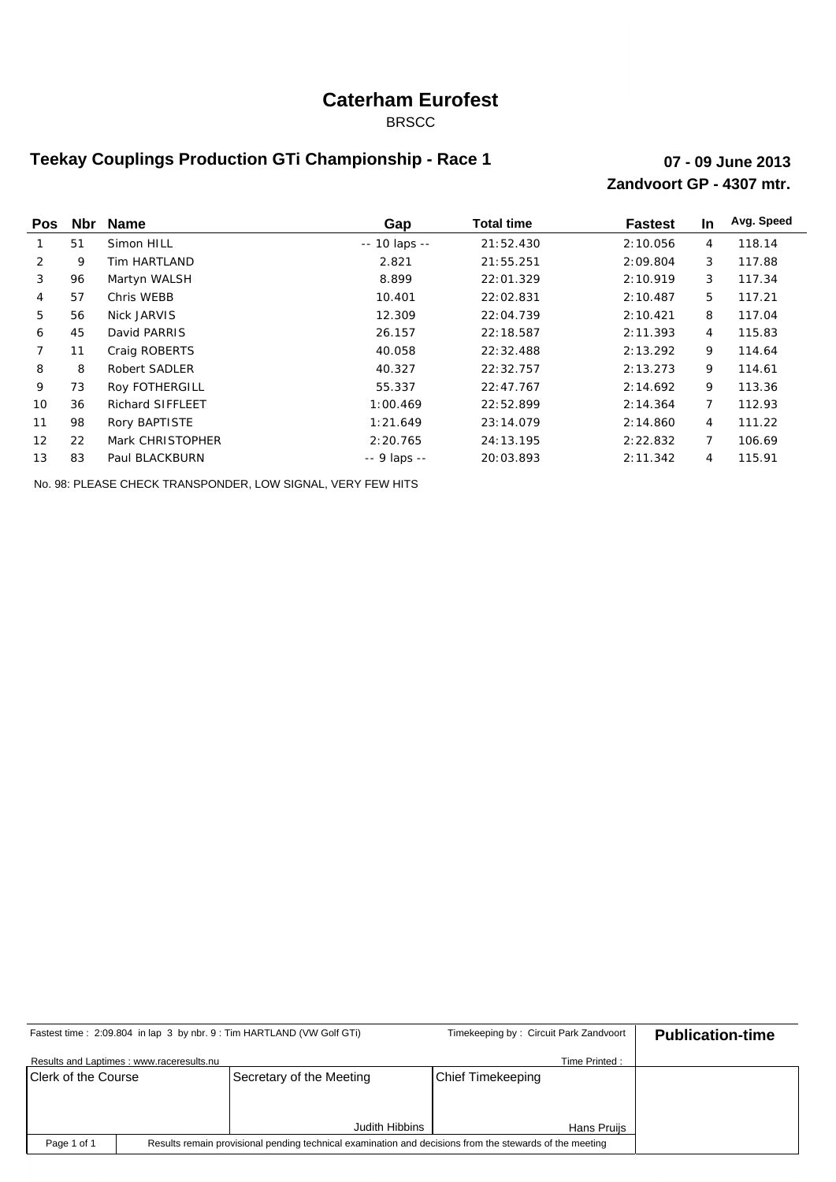## **Caterham Eurofest**

BRSCC

### **Teekay Couplings Production GTi Championship - Race 1**

#### **Zandvoort GP - 4307 mtr. 07 - 09 June 2013**

| <b>Pos</b>    |    | Nbr Name         | Gap             | <b>Total time</b> | <b>Fastest</b> | In. | Avg. Speed |
|---------------|----|------------------|-----------------|-------------------|----------------|-----|------------|
|               | 51 | Simon HILL       | $- 10$ laps $-$ | 21:52.430         | 2:10.056       | 4   | 118.14     |
| $\mathcal{P}$ | 9  | Tim HARTLAND     | 2.821           | 21:55.251         | 2:09.804       | 3   | 117.88     |
| 3             | 96 | Martyn WALSH     | 8.899           | 22:01.329         | 2:10.919       | 3   | 117.34     |
| 4             | 57 | Chris WEBB       | 10.401          | 22:02.831         | 2:10.487       | 5   | 117.21     |
| 5             | 56 | Nick JARVIS      | 12.309          | 22:04.739         | 2:10.421       | 8   | 117.04     |
| 6             | 45 | David PARRIS     | 26.157          | 22:18.587         | 2: 11.393      | 4   | 115.83     |
|               | 11 | Craig ROBERTS    | 40.058          | 22: 32.488        | 2:13.292       | 9   | 114.64     |
| 8             | 8  | Robert SADLER    | 40.327          | 22: 32.757        | 2:13.273       | 9   | 114.61     |
| 9             | 73 | Roy FOTHERGILL   | 55.337          | 22:47.767         | 2:14.692       | 9   | 113.36     |
| 10            | 36 | Richard SIFFLEET | 1:00.469        | 22:52.899         | 2: 14.364      | 7   | 112.93     |
| 11            | 98 | Rory BAPTISTE    | 1:21.649        | 23:14.079         | 2:14.860       | 4   | 111.22     |
| 12            | 22 | Mark CHRISTOPHER | 2:20.765        | 24:13.195         | 2:22.832       | 7   | 106.69     |
| 13            | 83 | Paul BLACKBURN   | $-9$ laps $-$   | 20:03.893         | 2: 11.342      | 4   | 115.91     |

No. 98: PLEASE CHECK TRANSPONDER, LOW SIGNAL, VERY FEW HITS

|                                                                                                                        |                                          | Fastest time: 2:09.804 in lap 3 by nbr. 9 : Tim HARTLAND (VW Golf GTi) | Timekeeping by: Circuit Park Zandvoort |               | <b>Publication-time</b> |
|------------------------------------------------------------------------------------------------------------------------|------------------------------------------|------------------------------------------------------------------------|----------------------------------------|---------------|-------------------------|
|                                                                                                                        | Results and Laptimes: www.raceresults.nu |                                                                        |                                        | Time Printed: |                         |
| Clerk of the Course                                                                                                    |                                          | Secretary of the Meeting                                               | <b>Chief Timekeeping</b>               |               |                         |
|                                                                                                                        |                                          |                                                                        |                                        |               |                         |
|                                                                                                                        |                                          | Judith Hibbins                                                         |                                        | Hans Pruijs   |                         |
| Results remain provisional pending technical examination and decisions from the stewards of the meeting<br>Page 1 of 1 |                                          |                                                                        |                                        |               |                         |